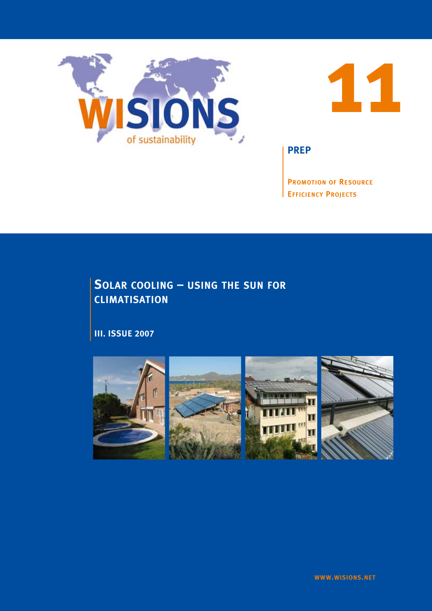



**PREP**

**Promotion of Resource Efficiency Projects**

# **Solar cooling – using the sun for climatisation**

**III. Issue 2007**

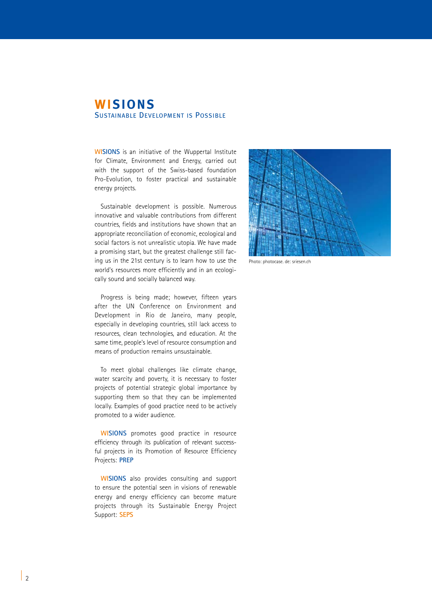## **WISIONS** Sustainable Development is Possible

**WISIONS** is an initiative of the Wuppertal Institute for Climate, Environment and Energy, carried out with the support of the Swiss-based foundation Pro-Evolution, to foster practical and sustainable energy projects.

Sustainable development is possible. Numerous innovative and valuable contributions from different countries, fields and institutions have shown that an appropriate reconciliation of economic, ecological and social factors is not unrealistic utopia. We have made a promising start, but the greatest challenge still facing us in the 21st century is to learn how to use the world's resources more efficiently and in an ecologically sound and socially balanced way.

Progress is being made; however, fifteen years after the UN Conference on Environment and Development in Rio de Janeiro, many people, especially in developing countries, still lack access to resources, clean technologies, and education. At the same time, people's level of resource consumption and means of production remains unsustainable.

To meet global challenges like climate change, water scarcity and poverty, it is necessary to foster projects of potential strategic global importance by supporting them so that they can be implemented locally. Examples of good practice need to be actively promoted to a wider audience.

**WISIONS** promotes good practice in resource efficiency through its publication of relevant successful projects in its Promotion of Resource Efficiency Projects: **PREP**

**WISIONS** also provides consulting and support to ensure the potential seen in visions of renewable energy and energy efficiency can become mature projects through its Sustainable Energy Project Support: **SEPS**



Photo: photocase. de: sriesen.ch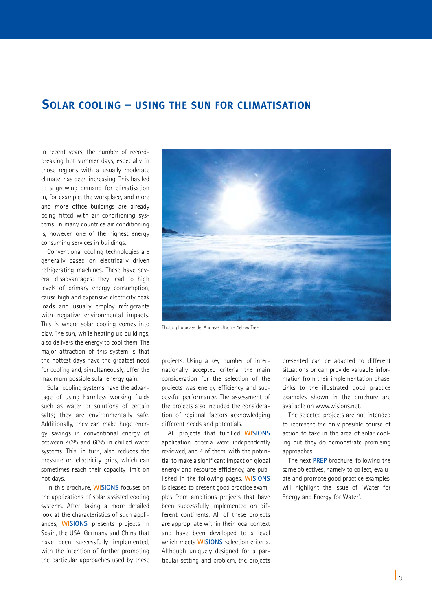## **Solar cooling – using the sun for climatisation**

In recent years, the number of recordbreaking hot summer days, especially in those regions with a usually moderate climate, has been increasing. This has led to a growing demand for climatisation in, for example, the workplace, and more and more office buildings are already being fitted with air conditioning systems. In many countries air conditioning is, however, one of the highest energy consuming services in buildings.

Conventional cooling technologies are generally based on electrically driven refrigerating machines. These have several disadvantages: they lead to high levels of primary energy consumption, cause high and expensive electricity peak loads and usually employ refrigerants with negative environmental impacts. This is where solar cooling comes into play. The sun, while heating up buildings, also delivers the energy to cool them. The major attraction of this system is that the hottest days have the greatest need for cooling and, simultaneously, offer the maximum possible solar energy gain.

Solar cooling systems have the advantage of using harmless working fluids such as water or solutions of certain salts; they are environmentally safe. Additionally, they can make huge energy savings in conventional energy of between 40% and 60% in chilled water systems. This, in turn, also reduces the pressure on electricity grids, which can sometimes reach their capacity limit on hot days.

In this brochure, **WISIONS** focuses on the applications of solar assisted cooling systems. After taking a more detailed look at the characteristics of such appliances, **WISIONS** presents projects in Spain, the USA, Germany and China that have been successfully implemented, with the intention of further promoting the particular approaches used by these



Photo: photocase.de: Andreas Utsch – Yellow Tree

projects. Using a key number of internationally accepted criteria, the main consideration for the selection of the projects was energy efficiency and successful performance. The assessment of the projects also included the consideration of regional factors acknowledging different needs and potentials.

All projects that fulfilled **WISIONS**  application criteria were independently reviewed, and 4 of them, with the potential to make a significant impact on global energy and resource efficiency, are published in the following pages. **WISIONS** is pleased to present good practice examples from ambitious projects that have been successfully implemented on different continents. All of these projects are appropriate within their local context and have been developed to a level which meets **WISIONS** selection criteria. Although uniquely designed for a particular setting and problem, the projects presented can be adapted to different situations or can provide valuable information from their implementation phase. Links to the illustrated good practice examples shown in the brochure are available on www.wisions.net.

The selected projects are not intended to represent the only possible course of action to take in the area of solar cooling but they do demonstrate promising approaches.

The next **PREP** brochure, following the same objectives, namely to collect, evaluate and promote good practice examples, will highlight the issue of "Water for Energy and Energy for Water".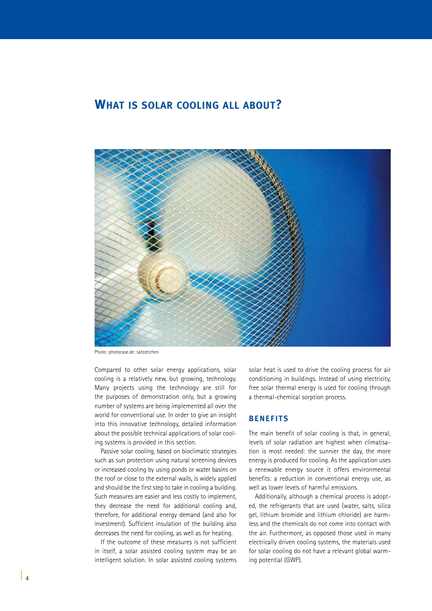## **What is solar cooling all about?**



Photo: photocase.de: satzzeichen

Compared to other solar energy applications, solar cooling is a relatively new, but growing, technology. Many projects using the technology are still for the purposes of demonstration only, but a growing number of systems are being implemented all over the world for conventional use. In order to give an insight into this innovative technology, detailed information about the possible technical applications of solar cooling systems is provided in this section.

Passive solar cooling, based on bioclimatic strategies such as sun protection using natural screening devices or increased cooling by using ponds or water basins on the roof or close to the external walls, is widely applied and should be the first step to take in cooling a building. Such measures are easier and less costly to implement, they decrease the need for additional cooling and, therefore, for additional energy demand (and also for investment). Sufficient insulation of the building also decreases the need for cooling, as well as for heating.

If the outcome of these measures is not sufficient in itself, a solar assisted cooling system may be an intelligent solution. In solar assisted cooling systems

solar heat is used to drive the cooling process for air conditioning in buildings. Instead of using electricity, free solar thermal energy is used for cooling through a thermal-chemical sorption process.

#### **Benefits**

The main benefit of solar cooling is that, in general, levels of solar radiation are highest when climatisation is most needed: the sunnier the day, the more energy is produced for cooling. As the application uses a renewable energy source it offers environmental benefits: a reduction in conventional energy use, as well as lower levels of harmful emissions.

Additionally, although a chemical process is adopted, the refrigerants that are used (water, salts, silica gel, lithium bromide and lithium chloride) are harmless and the chemicals do not come into contact with the air. Furthermore, as opposed those used in many electrically driven cooling systems, the materials used for solar cooling do not have a relevant global warming potential (GWP).

 $\frac{1}{4}$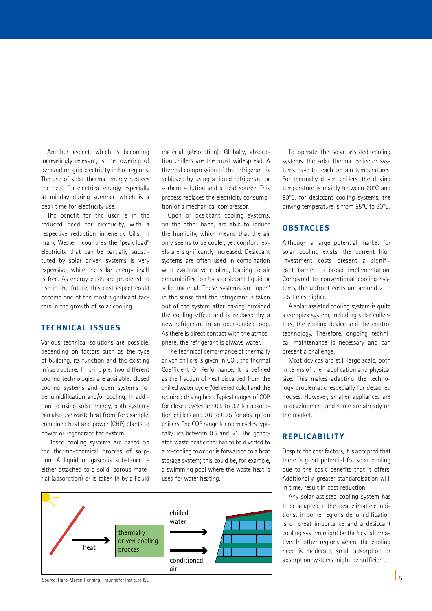Another aspect, which is becoming increasingly relevant, is the lowering of demand on grid electricity in hot regions. The use of solar thermal energy reduces the need for electrical energy, especially at midday during summer, which is a peak time for electricity use.

The benefit for the user is in the reduced need for electricity, with a respective reduction in energy bills. In many Western countries the "peak load" electricity that can be partially substituted by solar driven systems is very expensive, while the solar energy itself is free. As energy costs are predicted to rise in the future, this cost aspect could become one of the most significant factors in the growth of solar cooling.

### **Technical issues**

Various technical solutions are possible, depending on factors such as the type of building, its function and the existing infrastructure. In principle, two different cooling technologies are available: closed cooling systems and open systems for dehumidification and/or cooling. In addition to using solar energy, both systems can also use waste heat from, for example, combined heat and power (CHP) plants to power or regenerate the system.

Closed cooling systems are based on the thermo-chemical process of sorption. A liquid or gaseous substance is either attached to a solid, porous material (adsorption) or is taken in by a liquid material (absorption). Globally, absorption chillers are the most widespread. A thermal compression of the refrigerant is achieved by using a liquid refrigerant or sorbent solution and a heat source. This process replaces the electricity consumption of a mechanical compressor.

Open or desiccant cooling systems, on the other hand, are able to reduce the humidity, which means that the air only seems to be cooler, yet comfort levels are significantly increased. Desiccant systems are often used in combination with evaporative cooling, leading to air dehumidification by a desiccant liquid or solid material. These systems are 'open' in the sense that the refrigerant is taken out of the system after having provided the cooling effect and is replaced by a new refrigerant in an open-ended loop. As there is direct contact with the atmosphere, the refrigerant is always water.

The technical performance of thermally driven chillers is given in COP, the thermal Coefficient Of Performance. It is defined as the fraction of heat discarded from the chilled water cycle ('delivered cold') and the required driving heat. Typical ranges of COP for closed cycles are 0.5 to 0.7 for adsorption chillers and 0.6 to 0.75 for absorption chillers. The COP range for open cycles typically lies between 0.5 and >1. The generated waste heat either has to be diverted to a re-cooling tower or is forwarded to a heat storage system; this could be, for example, a swimming pool where the waste heat is used for water heating.



Source: Hans-Martin Henning, Fraunhofer Institute ISE

To operate the solar assisted cooling systems, the solar thermal collector systems have to reach certain temperatures. For thermally driven chillers, the driving temperature is mainly between 60°C and 80°C, for desiccant cooling systems, the driving temperature is from 55°C to 90°C.

### **Obstacles**

Although a large potential market for solar cooling exists, the current high investment costs present a significant barrier to broad implementation. Compared to conventional cooling systems, the upfront costs are around 2 to 2.5 times higher.

A solar assisted cooling system is quite a complex system, including solar collectors, the cooling device and the control technology. Therefore, ongoing technical maintenance is necessary and can present a challenge.

Most devices are still large scale, both in terms of their application and physical size. This makes adapting the technology problematic, especially for detached houses. However, smaller appliances are in development and some are already on the market.

### **Replic abilit y**

Despite the cost factors, it is accepted that there is great potential for solar cooling due to the basic benefits that it offers. Additionally, greater standardisation will, in time, result in cost reduction.

Any solar assisted cooling system has to be adapted to the local climatic conditions: in some regions dehumidification is of great importance and a desiccant cooling system might be the best alternative. In other regions where the cooling need is moderate, small adsorption or absorption systems might be sufficient.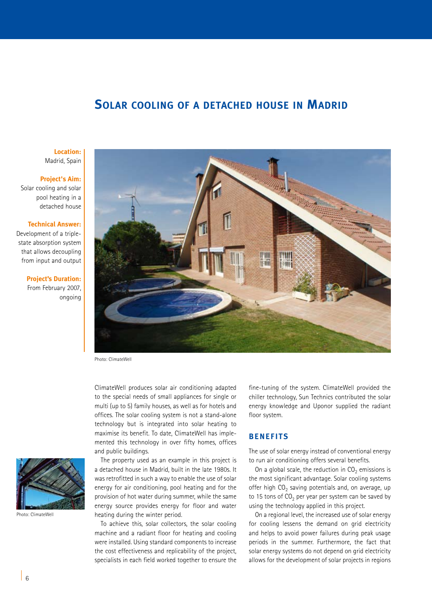## **Solar cooling of a detached house in Madrid**

**Location:** Madrid, Spain

#### **Project's Aim:**

Solar cooling and solar pool heating in a detached house

#### **Technical Answer:**

Development of a triplestate absorption system that allows decoupling from input and output

#### **Project's Duration:**

From February 2007, ongoing



Photo: ClimateWell

ClimateWell produces solar air conditioning adapted to the special needs of small appliances for single or multi (up to 5) family houses, as well as for hotels and offices. The solar cooling system is not a stand-alone technology but is integrated into solar heating to maximise its benefit. To date, ClimateWell has implemented this technology in over fifty homes, offices and public buildings.

The property used as an example in this project is a detached house in Madrid, built in the late 1980s. It was retrofitted in such a way to enable the use of solar energy for air conditioning, pool heating and for the provision of hot water during summer, while the same energy source provides energy for floor and water heating during the winter period.

To achieve this, solar collectors, the solar cooling machine and a radiant floor for heating and cooling were installed. Using standard components to increase the cost effectiveness and replicability of the project, specialists in each field worked together to ensure the

fine-tuning of the system. ClimateWell provided the chiller technology, Sun Technics contributed the solar energy knowledge and Uponor supplied the radiant floor system.

## **BENEFITS**

The use of solar energy instead of conventional energy to run air conditioning offers several benefits.

On a global scale, the reduction in  $CO<sub>2</sub>$  emissions is the most significant advantage. Solar cooling systems offer high  $CO<sub>2</sub>$  saving potentials and, on average, up to 15 tons of  $CO<sub>2</sub>$  per year per system can be saved by using the technology applied in this project.

On a regional level, the increased use of solar energy for cooling lessens the demand on grid electricity and helps to avoid power failures during peak usage periods in the summer. Furthermore, the fact that solar energy systems do not depend on grid electricity allows for the development of solar projects in regions



Photo: ClimateWell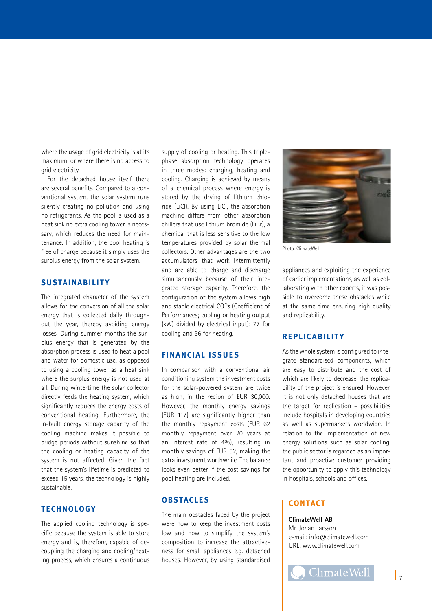where the usage of grid electricity is at its maximum, or where there is no access to grid electricity.

For the detached house itself there are several benefits. Compared to a conventional system, the solar system runs silently creating no pollution and using no refrigerants. As the pool is used as a heat sink no extra cooling tower is necessary, which reduces the need for maintenance. In addition, the pool heating is free of charge because it simply uses the surplus energy from the solar system.

## **SUSTAINABILITY**

The integrated character of the system allows for the conversion of all the solar energy that is collected daily throughout the year, thereby avoiding energy losses. During summer months the surplus energy that is generated by the absorption process is used to heat a pool and water for domestic use, as opposed to using a cooling tower as a heat sink where the surplus energy is not used at all. During wintertime the solar collector directly feeds the heating system, which significantly reduces the energy costs of conventional heating. Furthermore, the in-built energy storage capacity of the cooling machine makes it possible to bridge periods without sunshine so that the cooling or heating capacity of the system is not affected. Given the fact that the system's lifetime is predicted to exceed 15 years, the technology is highly sustainable.

#### **TECHNOLOGY**

The applied cooling technology is specific because the system is able to store energy and is, therefore, capable of decoupling the charging and cooling/heating process, which ensures a continuous supply of cooling or heating. This triplephase absorption technology operates in three modes: charging, heating and cooling. Charging is achieved by means of a chemical process where energy is stored by the drying of lithium chloride (LiCl). By using LiCl, the absorption machine differs from other absorption chillers that use lithium bromide (LiBr), a chemical that is less sensitive to the low temperatures provided by solar thermal collectors. Other advantages are the two accumulators that work intermittently and are able to charge and discharge simultaneously because of their integrated storage capacity. Therefore, the configuration of the system allows high and stable electrical COPs (Coefficient of Performances; cooling or heating output (kW) divided by electrical input): 77 for cooling and 96 for heating.

#### **FINANCIAL ISSUES**

In comparison with a conventional air conditioning system the investment costs for the solar-powered system are twice as high, in the region of EUR 30,000. However, the monthly energy savings (EUR 117) are significantly higher than the monthly repayment costs (EUR 62 monthly repayment over 20 years at an interest rate of 4%), resulting in monthly savings of EUR 52, making the extra investment worthwhile. The balance looks even better if the cost savings for pool heating are included.

### **OBSTACLES**

The main obstacles faced by the project were how to keep the investment costs low and how to simplify the system's composition to increase the attractiveness for small appliances e.g. detached houses. However, by using standardised



Photo: ClimateWell

appliances and exploiting the experience of earlier implementations, as well as collaborating with other experts, it was possible to overcome these obstacles while at the same time ensuring high quality and replicability.

#### **REPLICABILITY**

As the whole system is configured to integrate standardised components, which are easy to distribute and the cost of which are likely to decrease, the replicability of the project is ensured. However, it is not only detached houses that are the target for replication – possibilities include hospitals in developing countries as well as supermarkets worldwide. In relation to the implementation of new energy solutions such as solar cooling, the public sector is regarded as an important and proactive customer providing the opportunity to apply this technology in hospitals, schools and offices.

#### **CONTACT**

#### **ClimateWell AB**

Mr. Johan Larsson e-mail: info@climatewell.com URL: www.climatewell.com

**ClimateWell**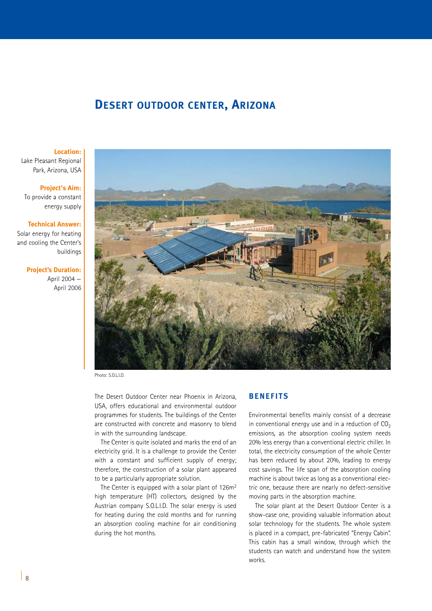# **Desert outdoor center, Arizona**

#### **Location:**

Lake Pleasant Regional Park, Arizona, USA

#### **Project's Aim:**

To provide a constant energy supply

#### **Technical Answer:**

Solar energy for heating and cooling the Center's buildings

#### **Project's Duration:**

April 2004 — April 2006



Photo: S.O.L.I.D.

The Desert Outdoor Center near Phoenix in Arizona, USA, offers educational and environmental outdoor programmes for students. The buildings of the Center are constructed with concrete and masonry to blend in with the surrounding landscape.

The Center is quite isolated and marks the end of an electricity grid. It is a challenge to provide the Center with a constant and sufficient supply of energy; therefore, the construction of a solar plant appeared to be a particularly appropriate solution.

The Center is equipped with a solar plant of 126m<sup>2</sup> high temperature (HT) collectors, designed by the Austrian company S.O.L.I.D. The solar energy is used for heating during the cold months and for running an absorption cooling machine for air conditioning during the hot months.

## **BENEFITS**

Environmental benefits mainly consist of a decrease in conventional energy use and in a reduction of  $CO<sub>2</sub>$ emissions, as the absorption cooling system needs 20% less energy than a conventional electric chiller. In total, the electricity consumption of the whole Center has been reduced by about 20%, leading to energy cost savings. The life span of the absorption cooling machine is about twice as long as a conventional electric one, because there are nearly no defect-sensitive moving parts in the absorption machine.

The solar plant at the Desert Outdoor Center is a show-case one, providing valuable information about solar technology for the students. The whole system is placed in a compact, pre-fabricated "Energy Cabin". This cabin has a small window, through which the students can watch and understand how the system works.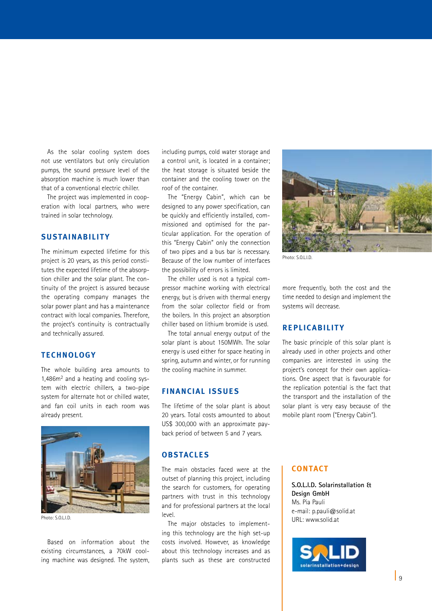As the solar cooling system does not use ventilators but only circulation pumps, the sound pressure level of the absorption machine is much lower than that of a conventional electric chiller.

The project was implemented in cooperation with local partners, who were trained in solar technology.

## **SUSTAINABILITY**

The minimum expected lifetime for this project is 20 years, as this period constitutes the expected lifetime of the absorption chiller and the solar plant. The continuity of the project is assured because the operating company manages the solar power plant and has a maintenance contract with local companies. Therefore, the project's continuity is contractually and technically assured.

## **TECHNOLOGY**

The whole building area amounts to 1,486m2 and a heating and cooling system with electric chillers, a two-pipe system for alternate hot or chilled water, and fan coil units in each room was already present.



Photo: S.O.L.I.D.

Based on information about the existing circumstances, a 70kW cooling machine was designed. The system, including pumps, cold water storage and a control unit, is located in a container; the heat storage is situated beside the container and the cooling tower on the roof of the container.

The "Energy Cabin", which can be designed to any power specification, can be quickly and efficiently installed, commissioned and optimised for the particular application. For the operation of this "Energy Cabin" only the connection of two pipes and a bus bar is necessary. Because of the low number of interfaces the possibility of errors is limited.

The chiller used is not a typical compressor machine working with electrical energy, but is driven with thermal energy from the solar collector field or from the boilers. In this project an absorption chiller based on lithium bromide is used.

The total annual energy output of the solar plant is about 150MWh. The solar energy is used either for space heating in spring, autumn and winter, or for running the cooling machine in summer.

#### **FINANCIAL ISSUES**

The lifetime of the solar plant is about 20 years. Total costs amounted to about US\$ 300,000 with an approximate payback period of between 5 and 7 years.

## **OBSTACLES**

The main obstacles faced were at the outset of planning this project, including the search for customers, for operating partners with trust in this technology and for professional partners at the local level.

The major obstacles to implementing this technology are the high set-up costs involved. However, as knowledge about this technology increases and as plants such as these are constructed



Photo: S.O.L.I.D.

more frequently, both the cost and the time needed to design and implement the systems will decrease.

### **REPLICABILITY**

The basic principle of this solar plant is already used in other projects and other companies are interested in using the project's concept for their own applications. One aspect that is favourable for the replication potential is the fact that the transport and the installation of the solar plant is very easy because of the mobile plant room ("Energy Cabin").

## **CONTACT**

**S.O.L.I.D. Solarinstallation & Design GmbH** Ms. Pia Pauli e-mail: p.pauli@solid.at URL: www.solid.at

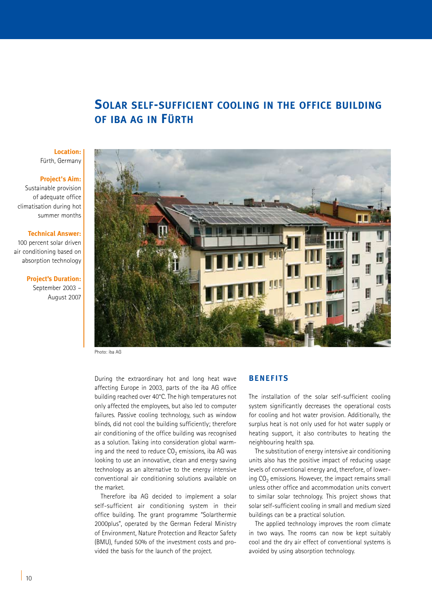# **Solar self-sufficient cooling in the office building of iba ag in Fürth**

#### **Location:** Fürth, Germany

#### **Project's Aim:**

Sustainable provision of adequate office climatisation during hot summer months

#### **Technical Answer:**

100 percent solar driven air conditioning based on absorption technology

#### **Project's Duration:**

September 2003 – August 2007



Photo: iba AG

During the extraordinary hot and long heat wave affecting Europe in 2003, parts of the iba AG office building reached over 40°C. The high temperatures not only affected the employees, but also led to computer failures. Passive cooling technology, such as window blinds, did not cool the building sufficiently; therefore air conditioning of the office building was recognised as a solution. Taking into consideration global warming and the need to reduce  $CO<sub>2</sub>$  emissions, iba AG was looking to use an innovative, clean and energy saving technology as an alternative to the energy intensive conventional air conditioning solutions available on the market.

Therefore iba AG decided to implement a solar self-sufficient air conditioning system in their office building. The grant programme "Solarthermie 2000plus", operated by the German Federal Ministry of Environment, Nature Protection and Reactor Safety (BMU), funded 50% of the investment costs and provided the basis for the launch of the project.

## **BENEFITS**

The installation of the solar self-sufficient cooling system significantly decreases the operational costs for cooling and hot water provision. Additionally, the surplus heat is not only used for hot water supply or heating support, it also contributes to heating the neighbouring health spa.

The substitution of energy intensive air conditioning units also has the positive impact of reducing usage levels of conventional energy and, therefore, of lowering  $CO<sub>2</sub>$  emissions. However, the impact remains small unless other office and accommodation units convert to similar solar technology. This project shows that solar self-sufficient cooling in small and medium sized buildings can be a practical solution.

The applied technology improves the room climate in two ways. The rooms can now be kept suitably cool and the dry air effect of conventional systems is avoided by using absorption technology.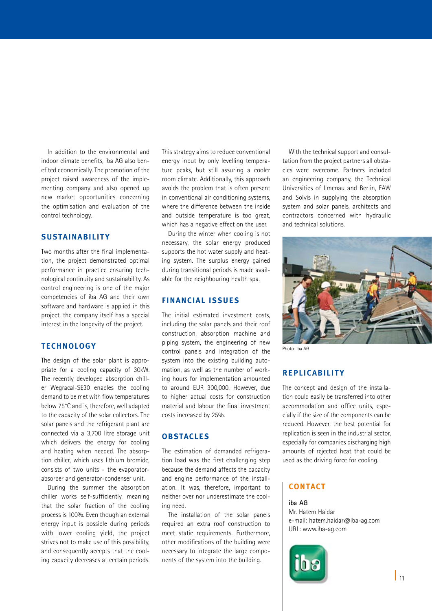In addition to the environmental and indoor climate benefits, iba AG also benefited economically. The promotion of the project raised awareness of the implementing company and also opened up new market opportunities concerning the optimisation and evaluation of the control technology.

## **SUSTAINABILITY**

Two months after the final implementation, the project demonstrated optimal performance in practice ensuring technological continuity and sustainability. As control engineering is one of the major competencies of iba AG and their own software and hardware is applied in this project, the company itself has a special interest in the longevity of the project.

## **TECHNOLOGY**

The design of the solar plant is appropriate for a cooling capacity of 30kW. The recently developed absorption chiller Wegracal-SE30 enables the cooling demand to be met with flow temperatures below 75°C and is, therefore, well adapted to the capacity of the solar collectors. The solar panels and the refrigerant plant are connected via a 3,700 litre storage unit which delivers the energy for cooling and heating when needed. The absorption chiller, which uses lithium bromide, consists of two units - the evaporatorabsorber and generator-condenser unit.

During the summer the absorption chiller works self-sufficiently, meaning that the solar fraction of the cooling process is 100%. Even though an external energy input is possible during periods with lower cooling yield, the project strives not to make use of this possibility, and consequently accepts that the cooling capacity decreases at certain periods.

This strategy aims to reduce conventional energy input by only levelling temperature peaks, but still assuring a cooler room climate. Additionally, this approach avoids the problem that is often present in conventional air conditioning systems, where the difference between the inside and outside temperature is too great, which has a negative effect on the user.

During the winter when cooling is not necessary, the solar energy produced supports the hot water supply and heating system. The surplus energy gained during transitional periods is made available for the neighbouring health spa.

## **FINANCIAL ISSUES**

The initial estimated investment costs, including the solar panels and their roof construction, absorption machine and piping system, the engineering of new control panels and integration of the system into the existing building automation, as well as the number of working hours for implementation amounted to around EUR 300,000. However, due to higher actual costs for construction material and labour the final investment costs increased by 25%.

## **OBSTACLES**

The estimation of demanded refrigeration load was the first challenging step because the demand affects the capacity and engine performance of the installation. It was, therefore, important to neither over nor underestimate the cooling need.

The installation of the solar panels required an extra roof construction to meet static requirements. Furthermore, other modifications of the building were necessary to integrate the large components of the system into the building.

With the technical support and consultation from the project partners all obstacles were overcome. Partners included an engineering company, the Technical Universities of Ilmenau and Berlin, EAW and Solvis in supplying the absorption system and solar panels, architects and contractors concerned with hydraulic and technical solutions.



Photo: iba AG

### **REPLICABILITY**

The concept and design of the installation could easily be transferred into other accommodation and office units, especially if the size of the components can be reduced. However, the best potential for replication is seen in the industrial sector, especially for companies discharging high amounts of rejected heat that could be used as the driving force for cooling.

#### **CONTACT**

#### **iba AG**

Mr. Hatem Haidar e-mail: hatem.haidar@iba-ag.com URL: www.iba-ag.com

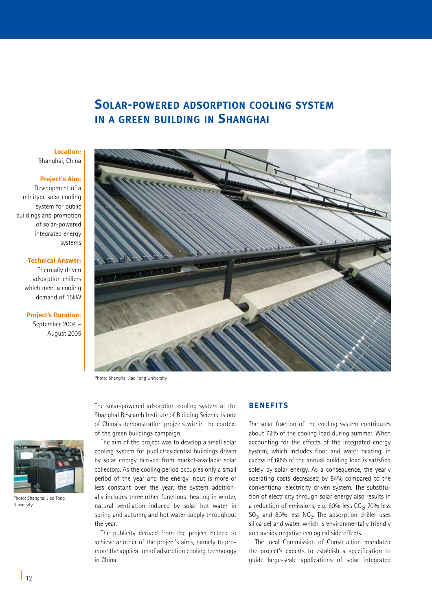# **Solar-powered adsorption cooling system in a green building in Shanghai**

#### **Location:** Shanghai, China

#### **Project's Aim:**

Development of a minitype solar cooling system for public buildings and promotion of solar-powered integrated energy systems

#### **Technical Answer:**

Thermally driven adsorption chillers which meet a cooling demand of 15kW

**Project's Duration:**  September 2004 – August 2005



Photo: Shanghai Jiao Tong University

The solar-powered adsorption cooling system at the Shanghai Research Institute of Building Science is one of China's demonstration projects within the context of the green buildings campaign.

The aim of the project was to develop a small solar cooling system for public/residential buildings driven by solar energy derived from market-available solar collectors. As the cooling period occupies only a small period of the year and the energy input is more or less constant over the year, the system additionally includes three other functions: heating in winter, natural ventilation induced by solar hot water in spring and autumn, and hot water supply throughout the year.

The publicity derived from the project helped to achieve another of the project's aims, namely to promote the application of adsorption cooling technology in China.

#### **BENEFITS**

The solar fraction of the cooling system contributes about 72% of the cooling load during summer. When accounting for the effects of the integrated energy system, which includes floor and water heating, in excess of 60% of the annual building load is satisfied solely by solar energy. As a consequence, the yearly operating costs decreased by 54% compared to the conventional electricity driven system. The substitution of electricity through solar energy also results in a reduction of emissions, e.g.  $60\%$  less  $CO<sub>2</sub>$ , 70% less  $SO<sub>2</sub>$ , and 80% less  $NO<sub>2</sub>$ . The adsorption chiller uses silica gel and water, which is environmentally friendly and avoids negative ecological side effects.

The local Commission of Construction mandated the project's experts to establish a specification to guide large-scale applications of solar integrated



Photo: Shanghai Jiao Tong University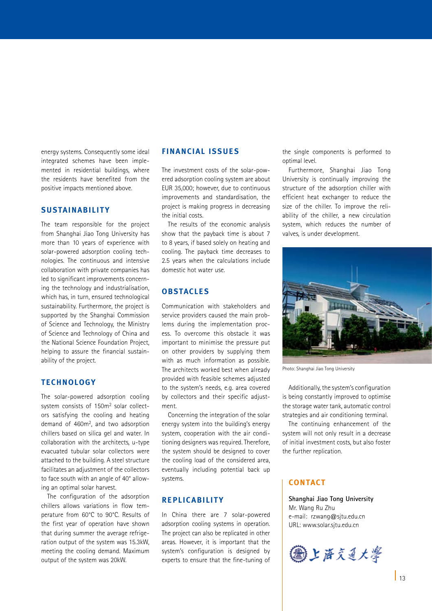energy systems. Consequently some ideal integrated schemes have been implemented in residential buildings, where the residents have benefited from the positive impacts mentioned above.

### **SUSTAINABILITY**

The team responsible for the project from Shanghai Jiao Tong University has more than 10 years of experience with solar-powered adsorption cooling technologies. The continuous and intensive collaboration with private companies has led to significant improvements concerning the technology and industrialisation, which has, in turn, ensured technological sustainability. Furthermore, the project is supported by the Shanghai Commission of Science and Technology, the Ministry of Science and Technology of China and the National Science Foundation Project, helping to assure the financial sustainability of the project.

#### **TECHNOLOGY**

The solar-powered adsorption cooling system consists of 150m2 solar collectors satisfying the cooling and heating demand of 460m2, and two adsorption chillers based on silica gel and water. In collaboration with the architects, u-type evacuated tubular solar collectors were attached to the building. A steel structure facilitates an adjustment of the collectors to face south with an angle of 40° allowing an optimal solar harvest.

The configuration of the adsorption chillers allows variations in flow temperature from 60°C to 90°C. Results of the first year of operation have shown that during summer the average refrigeration output of the system was 15.3kW, meeting the cooling demand. Maximum output of the system was 20kW.

#### **FINANCIAL ISSUES**

The investment costs of the solar-powered adsorption cooling system are about EUR 35,000; however, due to continuous improvements and standardisation, the project is making progress in decreasing the initial costs.

The results of the economic analysis show that the payback time is about 7 to 8 years, if based solely on heating and cooling. The payback time decreases to 2.5 years when the calculations include domestic hot water use.

## **OBSTACLES**

Communication with stakeholders and service providers caused the main problems during the implementation process. To overcome this obstacle it was important to minimise the pressure put on other providers by supplying them with as much information as possible. The architects worked best when already provided with feasible schemes adjusted to the system's needs, e.g. area covered by collectors and their specific adjustment.

Concerning the integration of the solar energy system into the building's energy system, cooperation with the air conditioning designers was required. Therefore, the system should be designed to cover the cooling load of the considered area, eventually including potential back up systems.

### **REPLICABILITY**

In China there are 7 solar-powered adsorption cooling systems in operation. The project can also be replicated in other areas. However, it is important that the system's configuration is designed by experts to ensure that the fine-tuning of the single components is performed to optimal level.

Furthermore, Shanghai Jiao Tong University is continually improving the structure of the adsorption chiller with efficient heat exchanger to reduce the size of the chiller. To improve the reliability of the chiller, a new circulation system, which reduces the number of valves, is under development.



Photo: Shanghai Jiao Tong University

Additionally, the system's configuration is being constantly improved to optimise the storage water tank, automatic control strategies and air conditioning terminal.

The continuing enhancement of the system will not only result in a decrease of initial investment costs, but also foster the further replication.

## **CONTACT**

**Shanghai Jiao Tong University** Mr. Wang Ru Zhu e-mail: rzwang@sjtu.edu.cn URL: www.solar.sjtu.edu.cn

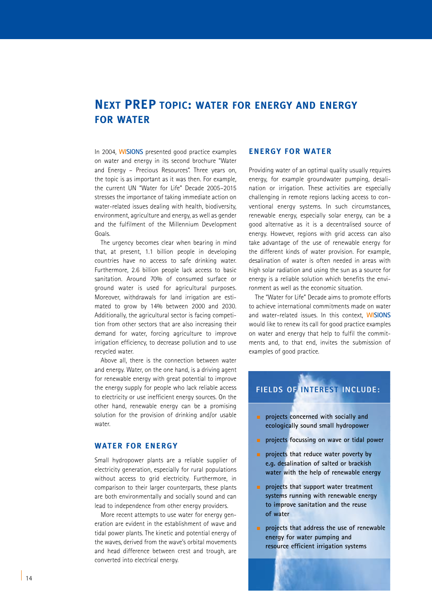# **Next PREP topic: water for energy and energy for water**

In 2004, **WISIONS** presented good practice examples on water and energy in its second brochure "Water and Energy – Precious Resources". Three years on, the topic is as important as it was then. For example, the current UN "Water for Life" Decade 2005–2015 stresses the importance of taking immediate action on water-related issues dealing with health, biodiversity, environment, agriculture and energy, as well as gender and the fulfilment of the Millennium Development Goals.

The urgency becomes clear when bearing in mind that, at present, 1.1 billion people in developing countries have no access to safe drinking water. Furthermore, 2.6 billion people lack access to basic sanitation. Around 70% of consumed surface or ground water is used for agricultural purposes. Moreover, withdrawals for land irrigation are estimated to grow by 14% between 2000 and 2030. Additionally, the agricultural sector is facing competition from other sectors that are also increasing their demand for water, forcing agriculture to improve irrigation efficiency, to decrease pollution and to use recycled water.

Above all, there is the connection between water and energy. Water, on the one hand, is a driving agent for renewable energy with great potential to improve the energy supply for people who lack reliable access to electricity or use inefficient energy sources. On the other hand, renewable energy can be a promising solution for the provision of drinking and/or usable water.

## **Water for Energy**

Small hydropower plants are a reliable supplier of electricity generation, especially for rural populations without access to grid electricity. Furthermore, in comparison to their larger counterparts, these plants are both environmentally and socially sound and can lead to independence from other energy providers.

More recent attempts to use water for energy generation are evident in the establishment of wave and tidal power plants. The kinetic and potential energy of the waves, derived from the wave's orbital movements and head difference between crest and trough, are converted into electrical energy.

### **Energy for Water**

Providing water of an optimal quality usually requires energy, for example groundwater pumping, desalination or irrigation. These activities are especially challenging in remote regions lacking access to conventional energy systems. In such circumstances, renewable energy, especially solar energy, can be a good alternative as it is a decentralised source of energy. However, regions with grid access can also take advantage of the use of renewable energy for the different kinds of water provision. For example, desalination of water is often needed in areas with high solar radiation and using the sun as a source for energy is a reliable solution which benefits the environment as well as the economic situation.

The "Water for Life" Decade aims to promote efforts to achieve international commitments made on water and water-related issues. In this context, **WISIONS** would like to renew its call for good practice examples on water and energy that help to fulfil the commitments and, to that end, invites the submission of examples of good practice.

## **FIELDS OF INTEREST INCLUDE:**

- **n** projects concerned with socially and  **ecologically sound small hydropower**
- <sup>n</sup> **projects focussing on wave or tidal power**
- <sup>n</sup> **projects that reduce water poverty by e.g. desalination of salted or brackish water with the help of renewable energy**
- <sup>n</sup> **projects that support water treatment systems running with renewable energy to improve sanitation and the reuse of water**
- **n projects that address the use of renewable energy for water pumping and resource efficient irrigation systems**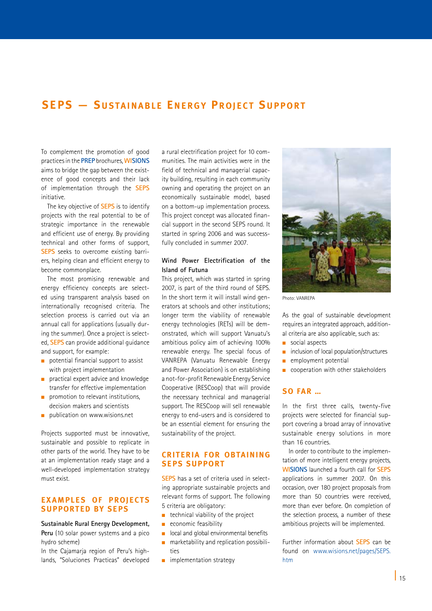## **SEPS - SUSTAINABLE ENERGY PROIECT SUPPORT**

To complement the promotion of good practices in the **PREP** brochures, **WISIONS**  aims to bridge the gap between the existence of good concepts and their lack of implementation through the **SEPS** initiative.

The key objective of **SEPS** is to identify projects with the real potential to be of strategic importance in the renewable and efficient use of energy. By providing technical and other forms of support, **SEPS** seeks to overcome existing barriers, helping clean and efficient energy to become commonplace.

The most promising renewable and energy efficiency concepts are selected using transparent analysis based on internationally recognised criteria. The selection process is carried out via an annual call for applications (usually during the summer). Once a project is selected, **SEPS** can provide additional guidance and support, for example:

- n potential financial support to assist with project implementation
- **n** practical expert advice and knowledge transfer for effective implementation
- $\blacksquare$  promotion to relevant institutions, decision makers and scientists
- $\Box$  publication on www.wisions.net

Projects supported must be innovative, sustainable and possible to replicate in other parts of the world. They have to be at an implementation ready stage and a well-developed implementation strategy must exist.

## **EXAMPLES OF PROJECTS supported by SEPS**

**Sustainable Rural Energy Development, Peru** (10 solar power systems and a pico hydro scheme)

In the Cajamarja region of Peru's highlands, "Soluciones Practicas" developed a rural electrification project for 10 communities. The main activities were in the field of technical and managerial capacity building, resulting in each community owning and operating the project on an economically sustainable model, based on a bottom-up implementation process. This project concept was allocated financial support in the second SEPS round. It started in spring 2006 and was successfully concluded in summer 2007.

#### **Wind Power Electrification of the Island of Futuna**

This project, which was started in spring 2007, is part of the third round of SEPS. In the short term it will install wind generators at schools and other institutions; longer term the viability of renewable energy technologies (RETs) will be demonstrated, which will support Vanuatu's ambitious policy aim of achieving 100% renewable energy. The special focus of VANREPA (Vanuatu Renewable Energy and Power Association) is on establishing a not-for-profit Renewable Energy Service Cooperative (RESCoop) that will provide the necessary technical and managerial support. The RESCoop will sell renewable energy to end-users and is considered to be an essential element for ensuring the sustainability of the project.

## **Criteria for obtaining SEPS support**

**SEPS** has a set of criteria used in selecting appropriate sustainable projects and relevant forms of support. The following 5 criteria are obligatory:

- $\blacksquare$  technical viability of the project
- n economic feasibility
- local and global environmental benefits
- marketability and replication possibilities
- $\blacksquare$  implementation strategy



Photo: VANREPA

As the goal of sustainable development requires an integrated approach, additional criteria are also applicable, such as:

- social aspects
- inclusion of local population/structures
- $\blacksquare$  employment potential
- $\Box$  cooperation with other stakeholders

#### **So far …**

In the first three calls, twenty-five projects were selected for financial support covering a broad array of innovative sustainable energy solutions in more than 16 countries.

In order to contribute to the implementation of more intelligent energy projects, **WISIONS** launched a fourth call for **SEPS** applications in summer 2007. On this occasion, over 180 project proposals from more than 50 countries were received, more than ever before. On completion of the selection process, a number of these ambitious projects will be implemented.

Further information about **SEPS** can be found on www.wisions.net/pages/SEPS. htm